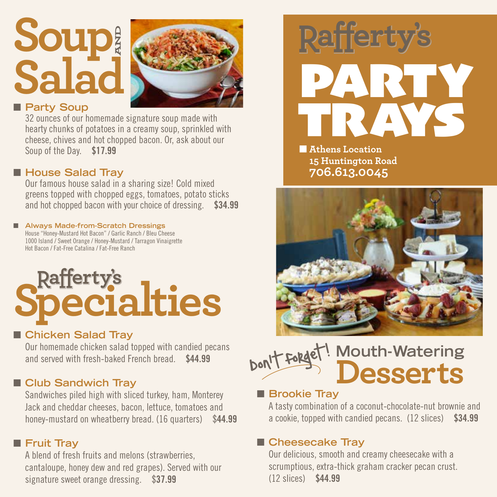## **Soup Salad AND**



#### **n** Party Soup

32 ounces of our homemade signature soup made with hearty chunks of potatoes in a creamy soup, sprinkled with cheese, chives and hot chopped bacon. Or, ask about our Soup of the Day. \$17.99

#### ■ House Salad Tray

Our famous house salad in a sharing size! Cold mixed greens topped with chopped eggs, tomatoes, potato sticks and hot chopped bacon with your choice of dressing. \$34.99

#### ■ Always Made-from-Scratch Dressings House "Honey-Mustard Hot Bacon" / Garlic Ranch / Bleu Cheese

1000 Island / Sweet Orange / Honey-Mustard / Tarragon Vinaigrette Hot Bacon / Fat-Free Catalina / Fat-Free Ranch

# **Rafferty's**<br>**Pecialties**

#### ■ Chicken Salad Tray

Our homemade chicken salad topped with candied pecans and served with fresh-baked French bread. \$44.99

#### **n** Club Sandwich Tray

Sandwiches piled high with sliced turkey, ham, Monterey Jack and cheddar cheeses, bacon, lettuce, tomatoes and honey-mustard on wheatberry bread. (16 quarters) \$44.99

#### **n** Fruit Tray

A blend of fresh fruits and melons (strawberries, cantaloupe, honey dew and red grapes). Served with our signature sweet orange dressing. \$37.99



**■ Athens Location 15 Huntington Road 706.613.0045**



#### **Mouth-Watering Desserts** Don't forget!  $\overline{\phantom{a}}$

#### **n** Brookie Tray

A tasty combination of a coconut-chocolate-nut brownie and a cookie, topped with candied pecans. (12 slices) \$34.99

#### ■ Cheesecake Tray

Our delicious, smooth and creamy cheesecake with a scrumptious, extra-thick graham cracker pecan crust. (12 slices) \$44.99